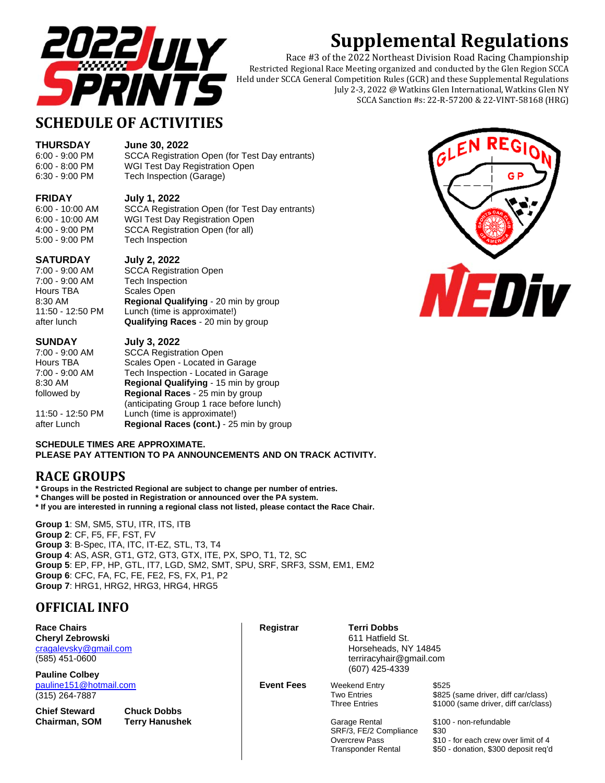

# **Supplemental Regulations**

Race #3 of the 2022 Northeast Division Road Racing Championship Restricted Regional Race Meeting organized and conducted by the Glen Region SCCA Held under SCCA General Competition Rules (GCR) and these Supplemental Regulations July 2-3, 2022 @ Watkins Glen International, Watkins Glen NY SCCA Sanction #s: 22-R-57200 & 22-VINT-58168 (HRG)

## **SCHEDULE OF ACTIVITIES**

**THURSDAY June 30, 2022**

6:00 - 9:00 PM SCCA Registration Open (for Test Day entrants) 6:00 - 8:00 PM WGI Test Day Registration Open 6:30 - 9:00 PM Tech Inspection (Garage)

#### **FRIDAY July 1, 2022**

6:00 - 10:00 AM SCCA Registration Open (for Test Day entrants)

## 6:00 - 10:00 AM WGI Test Day Registration Open

4:00 - 9:00 PM SCCA Registration Open (for all) 5:00 - 9:00 PM Tech Inspection

#### **SATURDAY July 2, 2022**

Hours TBA Scales Open

## 7:00 - 9:00 AM SCCA Registration Open Tech Inspection 8:30 AM **Regional Qualifying** - 20 min by group 11:50 - 12:50 PM Lunch (time is approximate!) after lunch **Qualifying Races** - 20 min by group

**SUNDAY July 3, 2022**

7:00 - 9:00 AM SCCA Registration Open Hours TBA Scales Open - Located in Garage 7:00 - 9:00 AM Tech Inspection - Located in Garage 8:30 AM **Regional Qualifying** - 15 min by group followed by **Regional Races** - 25 min by group (anticipating Group 1 race before lunch) 11:50 - 12:50 PM Lunch (time is approximate!) after Lunch **Regional Races (cont.)** - 25 min by group



#### **SCHEDULE TIMES ARE APPROXIMATE. PLEASE PAY ATTENTION TO PA ANNOUNCEMENTS AND ON TRACK ACTIVITY.**

## **RACE GROUPS**

**\* Groups in the Restricted Regional are subject to change per number of entries.** 

**\* Changes will be posted in Registration or announced over the PA system.** 

**\* If you are interested in running a regional class not listed, please contact the Race Chair.**

**Group 1**: SM, SM5, STU, ITR, ITS, ITB **Group 2**: CF, F5, FF, FST, FV **Group 3**: B-Spec, ITA, ITC, IT-EZ, STL, T3, T4 **Group 4**: AS, ASR, GT1, GT2, GT3, GTX, ITE, PX, SPO, T1, T2, SC **Group 5**: EP, FP, HP, GTL, IT7, LGD, SM2, SMT, SPU, SRF, SRF3, SSM, EM1, EM2 **Group 6**: CFC, FA, FC, FE, FE2, FS, FX, P1, P2 **Group 7**: HRG1, HRG2, HRG3, HRG4, HRG5

## **OFFICIAL INFO**

| <b>Race Chairs</b><br><b>Cheryl Zebrowski</b><br>cragalevsky@gmail.com<br>(585) 451-0600<br><b>Pauline Colbey</b> |                                             | Registrar         | Terri Dobbs<br>611 Hatfield St.<br>Horseheads, NY 14845<br>terriracyhair@gmail.com<br>(607) 425-4339          |                                                                                                                                                        |  |
|-------------------------------------------------------------------------------------------------------------------|---------------------------------------------|-------------------|---------------------------------------------------------------------------------------------------------------|--------------------------------------------------------------------------------------------------------------------------------------------------------|--|
| pauline151@hotmail.com<br>$(315)$ 264-7887                                                                        |                                             | <b>Event Fees</b> | <b>Weekend Entry</b><br><b>Two Entries</b>                                                                    | \$525<br>\$825 (same driver, diff car/class)                                                                                                           |  |
| <b>Chief Steward</b><br><b>Chairman, SOM</b>                                                                      | <b>Chuck Dobbs</b><br><b>Terry Hanushek</b> |                   | <b>Three Entries</b><br>Garage Rental<br>SRF/3, FE/2 Compliance<br><b>Overcrew Pass</b><br>Transponder Rental | \$1000 (same driver, diff car/class)<br>\$100 - non-refundable<br>\$30<br>\$10 - for each crew over limit of 4<br>\$50 - donation. \$300 deposit reg'd |  |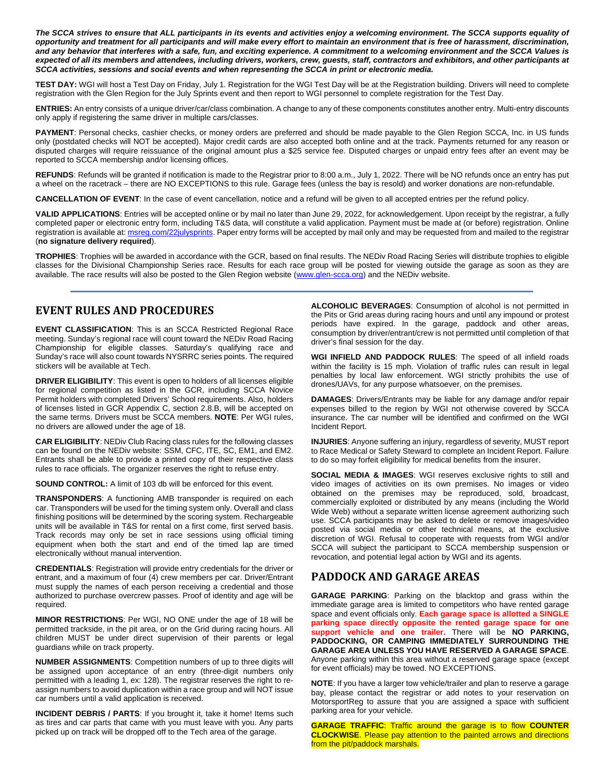The SCCA strives to ensure that ALL participants in its events and activities enjoy a welcoming environment. The SCCA supports equality of *opportunity and treatment for all participants and will make every effort to maintain an environment that is free of harassment, discrimination, and any behavior that interferes with a safe, fun, and exciting experience. A commitment to a welcoming environment and the SCCA Values is expected of all its members and attendees, including drivers, workers, crew, guests, staff, contractors and exhibitors, and other participants at SCCA activities, sessions and social events and when representing the SCCA in print or electronic media.* 

**TEST DAY:** WGI will host a Test Day on Friday, July 1. Registration for the WGI Test Day will be at the Registration building. Drivers will need to complete registration with the Glen Region for the July Sprints event and then report to WGI personnel to complete registration for the Test Day.

**ENTRIES:** An entry consists of a unique driver/car/class combination. A change to any of these components constitutes another entry. Multi-entry discounts only apply if registering the same driver in multiple cars/classes.

PAYMENT: Personal checks, cashier checks, or money orders are preferred and should be made payable to the Glen Region SCCA, Inc. in US funds only (postdated checks will NOT be accepted). Major credit cards are also accepted both online and at the track. Payments returned for any reason or disputed charges will require reissuance of the original amount plus a \$25 service fee. Disputed charges or unpaid entry fees after an event may be reported to SCCA membership and/or licensing offices.

**REFUNDS**: Refunds will be granted if notification is made to the Registrar prior to 8:00 a.m., July 1, 2022. There will be NO refunds once an entry has put a wheel on the racetrack – there are NO EXCEPTIONS to this rule. Garage fees (unless the bay is resold) and worker donations are non-refundable.

**CANCELLATION OF EVENT**: In the case of event cancellation, notice and a refund will be given to all accepted entries per the refund policy.

**VALID APPLICATIONS**: Entries will be accepted online or by mail no later than June 29, 2022, for acknowledgement. Upon receipt by the registrar, a fully completed paper or electronic entry form, including T&S data, will constitute a valid application. Payment must be made at (or before) registration. Online registration is available at: msreg.com/22julysprints. Paper entry forms will be accepted by mail only and may be requested from and mailed to the registrar (**no signature delivery required**).

**TROPHIES**: Trophies will be awarded in accordance with the GCR, based on final results. The NEDiv Road Racing Series will distribute trophies to eligible classes for the Divisional Championship Series race. Results for each race group will be posted for viewing outside the garage as soon as they are available. The race results will also be posted to the Glen Region website (www.glen-scca.org) and the NEDiv website.

## **EVENT RULES AND PROCEDURES**

**EVENT CLASSIFICATION**: This is an SCCA Restricted Regional Race meeting. Sunday's regional race will count toward the NEDiv Road Racing Championship for eligible classes. Saturday's qualifying race and Sunday's race will also count towards NYSRRC series points. The required stickers will be available at Tech.

**DRIVER ELIGIBILITY**: This event is open to holders of all licenses eligible for regional competition as listed in the GCR, including SCCA Novice Permit holders with completed Drivers' School requirements. Also, holders of licenses listed in GCR Appendix C, section 2.8.B, will be accepted on the same terms. Drivers must be SCCA members. **NOTE**: Per WGI rules, no drivers are allowed under the age of 18.

**CAR ELIGIBILITY**: NEDiv Club Racing class rules for the following classes can be found on the NEDiv website: SSM, CFC, ITE, SC, EM1, and EM2. Entrants shall be able to provide a printed copy of their respective class rules to race officials. The organizer reserves the right to refuse entry.

**SOUND CONTROL:** A limit of 103 db will be enforced for this event.

**TRANSPONDERS**: A functioning AMB transponder is required on each car. Transponders will be used for the timing system only. Overall and class finishing positions will be determined by the scoring system. Rechargeable units will be available in T&S for rental on a first come, first served basis. Track records may only be set in race sessions using official timing equipment when both the start and end of the timed lap are timed electronically without manual intervention.

**CREDENTIALS**: Registration will provide entry credentials for the driver or entrant, and a maximum of four (4) crew members per car. Driver/Entrant must supply the names of each person receiving a credential and those authorized to purchase overcrew passes. Proof of identity and age will be required.

**MINOR RESTRICTIONS**: Per WGI, NO ONE under the age of 18 will be permitted trackside, in the pit area, or on the Grid during racing hours. All children MUST be under direct supervision of their parents or legal guardians while on track property.

**NUMBER ASSIGNMENTS**: Competition numbers of up to three digits will be assigned upon acceptance of an entry (three-digit numbers only permitted with a leading 1, ex: 128). The registrar reserves the right to reassign numbers to avoid duplication within a race group and will NOT issue car numbers until a valid application is received.

**INCIDENT DEBRIS / PARTS**: If you brought it, take it home! Items such as tires and car parts that came with you must leave with you. Any parts picked up on track will be dropped off to the Tech area of the garage.

**ALCOHOLIC BEVERAGES**: Consumption of alcohol is not permitted in the Pits or Grid areas during racing hours and until any impound or protest periods have expired. In the garage, paddock and other areas, consumption by driver/entrant/crew is not permitted until completion of that driver's final session for the day.

**WGI INFIELD AND PADDOCK RULES**: The speed of all infield roads within the facility is 15 mph. Violation of traffic rules can result in legal penalties by local law enforcement. WGI strictly prohibits the use of drones/UAVs, for any purpose whatsoever, on the premises.

**DAMAGES**: Drivers/Entrants may be liable for any damage and/or repair expenses billed to the region by WGI not otherwise covered by SCCA insurance. The car number will be identified and confirmed on the WGI Incident Report.

**INJURIES**: Anyone suffering an injury, regardless of severity, MUST report to Race Medical or Safety Steward to complete an Incident Report. Failure to do so may forfeit eligibility for medical benefits from the insurer.

**SOCIAL MEDIA & IMAGES**: WGI reserves exclusive rights to still and video images of activities on its own premises. No images or video obtained on the premises may be reproduced, sold, broadcast, commercially exploited or distributed by any means (including the World Wide Web) without a separate written license agreement authorizing such use. SCCA participants may be asked to delete or remove images/video posted via social media or other technical means, at the exclusive discretion of WGI. Refusal to cooperate with requests from WGI and/or SCCA will subject the participant to SCCA membership suspension or revocation, and potential legal action by WGI and its agents.

### **PADDOCK AND GARAGE AREAS**

**GARAGE PARKING**: Parking on the blacktop and grass within the immediate garage area is limited to competitors who have rented garage space and event officials only. **Each garage space is allotted a SINGLE parking space directly opposite the rented garage space for one support vehicle and one trailer.** There will be **NO PARKING, PADDOCKING, OR CAMPING IMMEDIATELY SURROUNDING THE GARAGE AREA UNLESS YOU HAVE RESERVED A GARAGE SPACE**. Anyone parking within this area without a reserved garage space (except for event officials) may be towed. NO EXCEPTIONS.

**NOTE**: If you have a larger tow vehicle/trailer and plan to reserve a garage bay, please contact the registrar or add notes to your reservation on MotorsportReg to assure that you are assigned a space with sufficient parking area for your vehicle.

**GARAGE TRAFFIC**: Traffic around the garage is to flow **COUNTER CLOCKWISE**. Please pay attention to the painted arrows and directions from the pit/paddock marshals.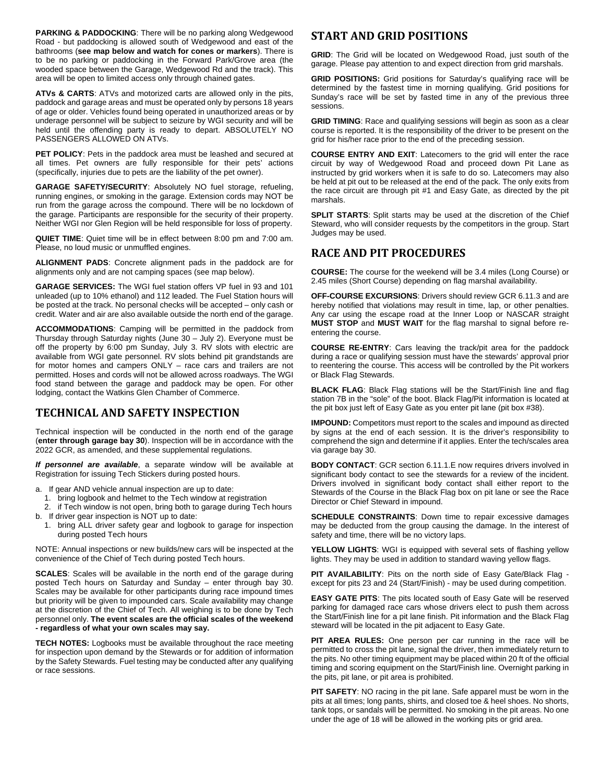PARKING & PADDOCKING: There will be no parking along Wedgewood Road - but paddocking is allowed south of Wedgewood and east of the bathrooms (**see map below and watch for cones or markers**). There is to be no parking or paddocking in the Forward Park/Grove area (the wooded space between the Garage, Wedgewood Rd and the track). This area will be open to limited access only through chained gates.

**ATVs & CARTS**: ATVs and motorized carts are allowed only in the pits, paddock and garage areas and must be operated only by persons 18 years of age or older. Vehicles found being operated in unauthorized areas or by underage personnel will be subject to seizure by WGI security and will be held until the offending party is ready to depart. ABSOLUTELY NO PASSENGERS ALLOWED ON ATVs.

**PET POLICY**: Pets in the paddock area must be leashed and secured at all times. Pet owners are fully responsible for their pets' actions (specifically, injuries due to pets are the liability of the pet owner).

**GARAGE SAFETY/SECURITY**: Absolutely NO fuel storage, refueling, running engines, or smoking in the garage. Extension cords may NOT be run from the garage across the compound. There will be no lockdown of the garage. Participants are responsible for the security of their property. Neither WGI nor Glen Region will be held responsible for loss of property.

**QUIET TIME**: Quiet time will be in effect between 8:00 pm and 7:00 am. Please, no loud music or unmuffled engines.

**ALIGNMENT PADS**: Concrete alignment pads in the paddock are for alignments only and are not camping spaces (see map below).

**GARAGE SERVICES:** The WGI fuel station offers VP fuel in 93 and 101 unleaded (up to 10% ethanol) and 112 leaded. The Fuel Station hours will be posted at the track. No personal checks will be accepted – only cash or credit. Water and air are also available outside the north end of the garage.

**ACCOMMODATIONS**: Camping will be permitted in the paddock from Thursday through Saturday nights (June 30 – July 2). Everyone must be off the property by 6:00 pm Sunday, July 3. RV slots with electric are available from WGI gate personnel. RV slots behind pit grandstands are for motor homes and campers ONLY – race cars and trailers are not permitted. Hoses and cords will not be allowed across roadways. The WGI food stand between the garage and paddock may be open. For other lodging, contact the Watkins Glen Chamber of Commerce.

### **TECHNICAL AND SAFETY INSPECTION**

Technical inspection will be conducted in the north end of the garage (**enter through garage bay 30**). Inspection will be in accordance with the 2022 GCR, as amended, and these supplemental regulations.

*If personnel are available*, a separate window will be available at Registration for issuing Tech Stickers during posted hours.

a. If gear AND vehicle annual inspection are up to date:

- 1. bring logbook and helmet to the Tech window at registration
- 2. if Tech window is not open, bring both to garage during Tech hours b. If driver gear inspection is NOT up to date:
	- 1. bring ALL driver safety gear and logbook to garage for inspection during posted Tech hours

NOTE: Annual inspections or new builds/new cars will be inspected at the convenience of the Chief of Tech during posted Tech hours.

**SCALES**: Scales will be available in the north end of the garage during posted Tech hours on Saturday and Sunday – enter through bay 30. Scales may be available for other participants during race impound times but priority will be given to impounded cars. Scale availability may change at the discretion of the Chief of Tech. All weighing is to be done by Tech personnel only. **The event scales are the official scales of the weekend - regardless of what your own scales may say.**

**TECH NOTES:** Logbooks must be available throughout the race meeting for inspection upon demand by the Stewards or for addition of information by the Safety Stewards. Fuel testing may be conducted after any qualifying or race sessions.

## **START AND GRID POSITIONS**

**GRID**: The Grid will be located on Wedgewood Road, just south of the garage. Please pay attention to and expect direction from grid marshals.

**GRID POSITIONS:** Grid positions for Saturday's qualifying race will be determined by the fastest time in morning qualifying. Grid positions for Sunday's race will be set by fasted time in any of the previous three sessions.

**GRID TIMING**: Race and qualifying sessions will begin as soon as a clear course is reported. It is the responsibility of the driver to be present on the grid for his/her race prior to the end of the preceding session.

**COURSE ENTRY AND EXIT**: Latecomers to the grid will enter the race circuit by way of Wedgewood Road and proceed down Pit Lane as instructed by grid workers when it is safe to do so. Latecomers may also be held at pit out to be released at the end of the pack. The only exits from the race circuit are through pit #1 and Easy Gate, as directed by the pit marshals.

**SPLIT STARTS**: Split starts may be used at the discretion of the Chief Steward, who will consider requests by the competitors in the group. Start Judges may be used.

## **RACE AND PIT PROCEDURES**

**COURSE:** The course for the weekend will be 3.4 miles (Long Course) or 2.45 miles (Short Course) depending on flag marshal availability.

**OFF-COURSE EXCURSIONS**: Drivers should review GCR 6.11.3 and are hereby notified that violations may result in time, lap, or other penalties. Any car using the escape road at the Inner Loop or NASCAR straight **MUST STOP** and **MUST WAIT** for the flag marshal to signal before reentering the course.

**COURSE RE-ENTRY**: Cars leaving the track/pit area for the paddock during a race or qualifying session must have the stewards' approval prior to reentering the course. This access will be controlled by the Pit workers or Black Flag Stewards.

**BLACK FLAG**: Black Flag stations will be the Start/Finish line and flag station 7B in the "sole" of the boot. Black Flag/Pit information is located at the pit box just left of Easy Gate as you enter pit lane (pit box #38).

**IMPOUND:** Competitors must report to the scales and impound as directed by signs at the end of each session. It is the driver's responsibility to comprehend the sign and determine if it applies. Enter the tech/scales area via garage bay 30.

**BODY CONTACT**: GCR section 6.11.1.E now requires drivers involved in significant body contact to see the stewards for a review of the incident. Drivers involved in significant body contact shall either report to the Stewards of the Course in the Black Flag box on pit lane or see the Race Director or Chief Steward in impound.

**SCHEDULE CONSTRAINTS:** Down time to repair excessive damages may be deducted from the group causing the damage. In the interest of safety and time, there will be no victory laps.

YELLOW LIGHTS: WGI is equipped with several sets of flashing yellow lights. They may be used in addition to standard waving yellow flags.

**PIT AVAILABILITY**: Pits on the north side of Easy Gate/Black Flag except for pits 23 and 24 (Start/Finish) - may be used during competition.

**EASY GATE PITS**: The pits located south of Easy Gate will be reserved parking for damaged race cars whose drivers elect to push them across the Start/Finish line for a pit lane finish. Pit information and the Black Flag steward will be located in the pit adjacent to Easy Gate.

**PIT AREA RULES:** One person per car running in the race will be permitted to cross the pit lane, signal the driver, then immediately return to the pits. No other timing equipment may be placed within 20 ft of the official timing and scoring equipment on the Start/Finish line. Overnight parking in the pits, pit lane, or pit area is prohibited.

**PIT SAFETY**: NO racing in the pit lane. Safe apparel must be worn in the pits at all times; long pants, shirts, and closed toe & heel shoes. No shorts, tank tops, or sandals will be permitted. No smoking in the pit areas. No one under the age of 18 will be allowed in the working pits or grid area.